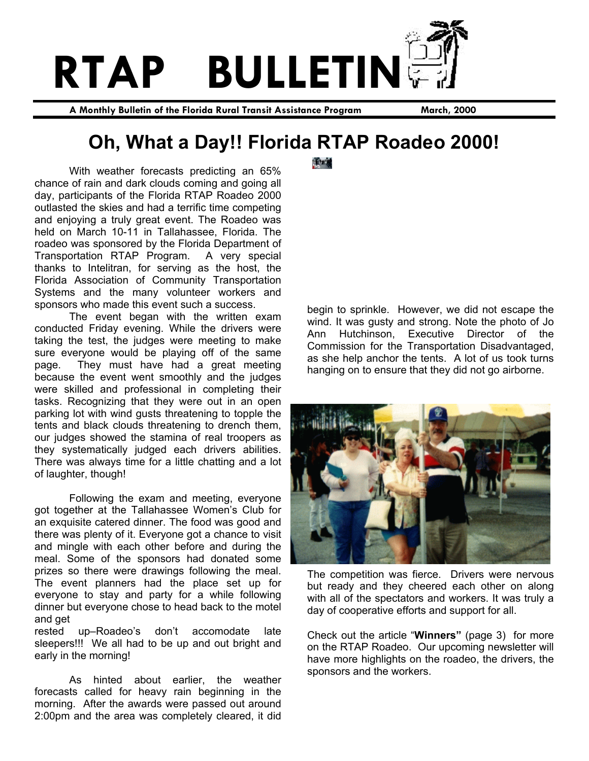

**A Monthly Bulletin of the Florida Rural Transit Assistance Program March, 2000** 

## **Oh, What a Day!! Florida RTAP Roadeo 2000!**

With weather forecasts predicting an 65% chance of rain and dark clouds coming and going all day, participants of the Florida RTAP Roadeo 2000 outlasted the skies and had a terrific time competing and enjoying a truly great event. The Roadeo was held on March 10-11 in Tallahassee, Florida. The roadeo was sponsored by the Florida Department of Transportation RTAP Program. A very special thanks to Intelitran, for serving as the host, the Florida Association of Community Transportation Systems and the many volunteer workers and sponsors who made this event such a success.

 The event began with the written exam conducted Friday evening. While the drivers were taking the test, the judges were meeting to make sure everyone would be playing off of the same page. They must have had a great meeting because the event went smoothly and the judges were skilled and professional in completing their tasks. Recognizing that they were out in an open parking lot with wind gusts threatening to topple the tents and black clouds threatening to drench them, our judges showed the stamina of real troopers as they systematically judged each drivers abilities. There was always time for a little chatting and a lot of laughter, though!

 Following the exam and meeting, everyone got together at the Tallahassee Women's Club for an exquisite catered dinner. The food was good and there was plenty of it. Everyone got a chance to visit and mingle with each other before and during the meal. Some of the sponsors had donated some prizes so there were drawings following the meal. The event planners had the place set up for everyone to stay and party for a while following dinner but everyone chose to head back to the motel and get

rested up–Roadeo's don't accomodate late sleepers!!! We all had to be up and out bright and early in the morning!

 As hinted about earlier, the weather forecasts called for heavy rain beginning in the morning. After the awards were passed out around 2:00pm and the area was completely cleared, it did **Tory** 

begin to sprinkle. However, we did not escape the wind. It was gusty and strong. Note the photo of Jo Ann Hutchinson, Executive Director of the Commission for the Transportation Disadvantaged, as she help anchor the tents. A lot of us took turns hanging on to ensure that they did not go airborne.



The competition was fierce. Drivers were nervous but ready and they cheered each other on along with all of the spectators and workers. It was truly a day of cooperative efforts and support for all.

Check out the article "**Winners"** (page 3) for more on the RTAP Roadeo. Our upcoming newsletter will have more highlights on the roadeo, the drivers, the sponsors and the workers.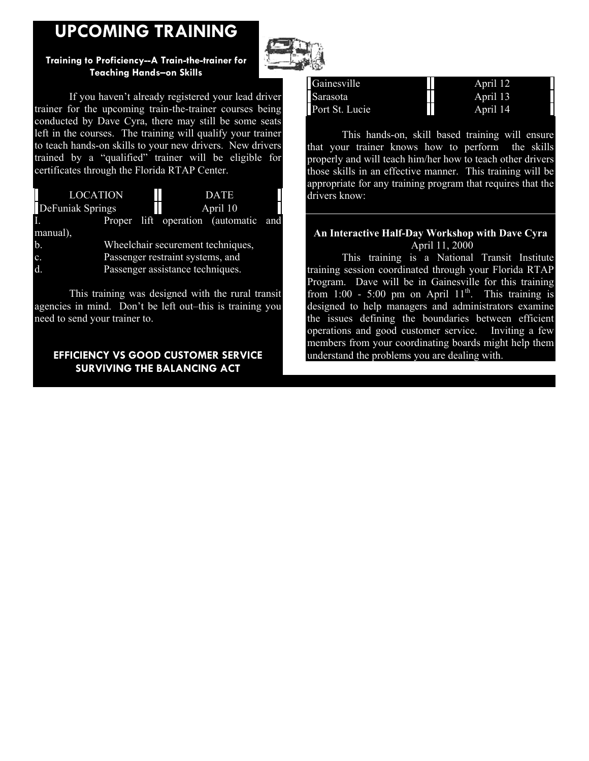## **UPCOMING TRAINING**

### **Training to Proficiency--A Train-the-trainer for Teaching Hands–on Skills**

 If you haven't already registered your lead driver trainer for the upcoming train-the-trainer courses being conducted by Dave Cyra, there may still be some seats left in the courses. The training will qualify your trainer to teach hands-on skills to your new drivers. New drivers trained by a "qualified" trainer will be eligible for certificates through the Florida RTAP Center.



 This training was designed with the rural transit agencies in mind. Don't be left out–this is training you need to send your trainer to.

## **EFFICIENCY VS GOOD CUSTOMER SERVICE SURVIVING THE BALANCING ACT**



| Gainesville    | April 12 |
|----------------|----------|
| Sarasota       | April 13 |
| Port St. Lucie | April 14 |
|                |          |

 This hands-on, skill based training will ensure that your trainer knows how to perform the skills properly and will teach him/her how to teach other drivers those skills in an effective manner. This training will be appropriate for any training program that requires that the drivers know:

#### **An Interactive Half-Day Workshop with Dave Cyra** April 11, 2000

 This training is a National Transit Institute training session coordinated through your Florida RTAP Program. Dave will be in Gainesville for this training from 1:00 - 5:00 pm on April  $11^{th}$ . This training is designed to help managers and administrators examine the issues defining the boundaries between efficient operations and good customer service. Inviting a few members from your coordinating boards might help them understand the problems you are dealing with.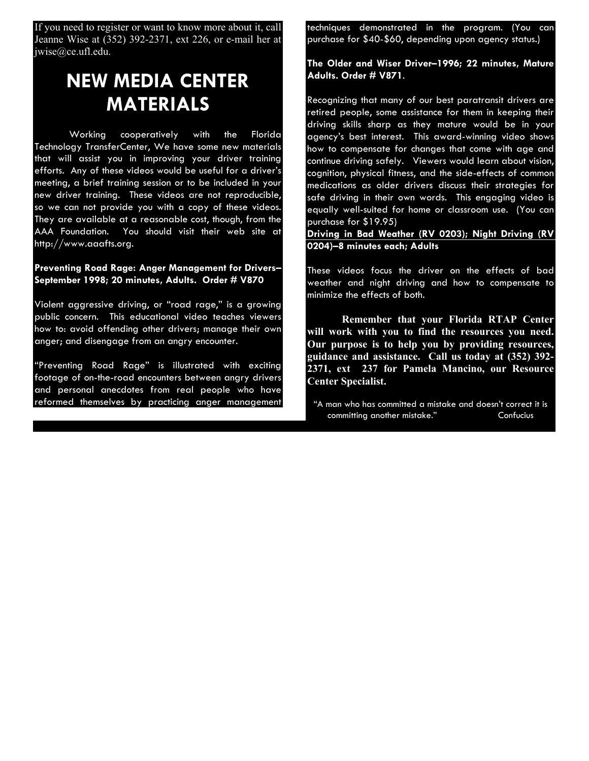If you need to register or want to know more about it, call Jeanne Wise at (352) 392-2371, ext 226, or e-mail her at jwise@ce.ufl.edu.

## **NEW MEDIA CENTER MATERIALS**

 Working cooperatively with the Florida Technology TransferCenter, We have some new materials that will assist you in improving your driver training efforts. Any of these videos would be useful for a driver's meeting, a brief training session or to be included in your new driver training. These videos are not reproducible, so we can not provide you with a copy of these videos. They are available at a reasonable cost, though, from the AAA Foundation. You should visit their web site at http://www.aaafts.org.

**Preventing Road Rage: Anger Management for Drivers– September 1998; 20 minutes, Adults. Order # V870**

Violent aggressive driving, or "road rage," is a growing public concern. This educational video teaches viewers how to: avoid offending other drivers; manage their own anger; and disengage from an angry encounter.

"Preventing Road Rage" is illustrated with exciting footage of on-the-road encounters between angry drivers and personal anecdotes from real people who have reformed themselves by practicing anger management techniques demonstrated in the program. (You can purchase for \$40-\$60, depending upon agency status.)

**The Older and Wiser Driver–1996; 22 minutes, Mature Adults. Order # V871**.

Recognizing that many of our best paratransit drivers are retired people, some assistance for them in keeping their driving skills sharp as they mature would be in your agency's best interest. This award-winning video shows how to compensate for changes that come with age and continue driving safely. Viewers would learn about vision, cognition, physical fitness, and the side-effects of common medications as older drivers discuss their strategies for safe driving in their own words. This engaging video is equally well-suited for home or classroom use. (You can purchase for \$19.95)

**Driving in Bad Weather (RV 0203); Night Driving (RV 0204)–8 minutes each; Adults**

These videos focus the driver on the effects of bad weather and night driving and how to compensate to minimize the effects of both.

**Remember that your Florida RTAP Center will work with you to find the resources you need. Our purpose is to help you by providing resources, guidance and assistance. Call us today at (352) 392- 2371, ext 237 for Pamela Mancino, our Resource Center Specialist.**

"A man who has committed a mistake and doesn't correct it is committing another mistake." Confucius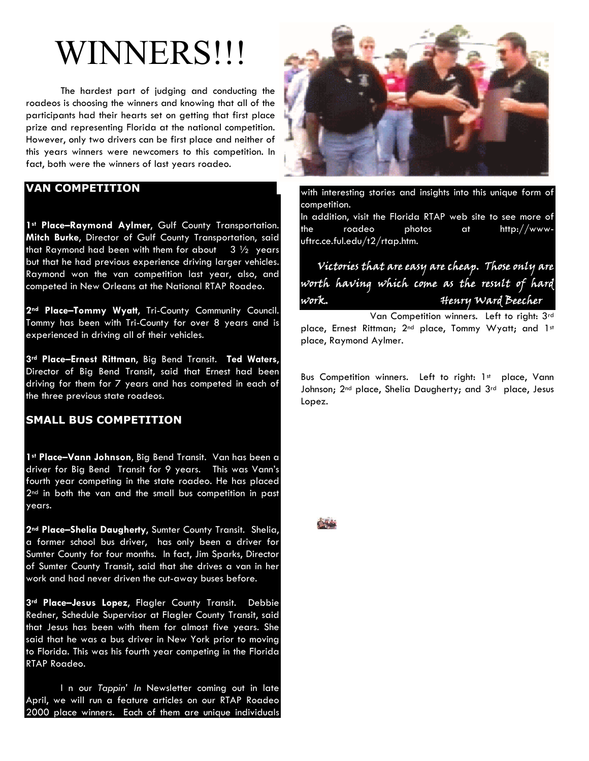# WINNERS!!!

The hardest part of judging and conducting the roadeos is choosing the winners and knowing that all of the participants had their hearts set on getting that first place prize and representing Florida at the national competition. However, only two drivers can be first place and neither of this years winners were newcomers to this competition. In fact, both were the winners of last years roadeo.

### **VAN COMPETITION**

1<sup>st</sup> Place-Raymond Aylmer, Gulf County Transportation. **Mitch Burke**, Director of Gulf County Transportation, said that Raymond had been with them for about  $3\frac{1}{2}$  years but that he had previous experience driving larger vehicles. Raymond won the van competition last year, also, and competed in New Orleans at the National RTAP Roadeo.

**2nd Place–Tommy Wyatt**, Tri-County Community Council. Tommy has been with Tri-County for over 8 years and is experienced in driving all of their vehicles.

**3rd Place–Ernest Rittman**, Big Bend Transit. **Ted Waters**, Director of Big Bend Transit, said that Ernest had been driving for them for 7 years and has competed in each of the three previous state roadeos.

#### **SMALL BUS COMPETITION**

**1st Place–Vann Johnson**, Big Bend Transit. Van has been a driver for Big Bend Transit for 9 years. This was Vann's fourth year competing in the state roadeo. He has placed 2<sup>nd</sup> in both the van and the small bus competition in past years.

**2nd Place–Shelia Daugherty**, Sumter County Transit. Shelia, a former school bus driver, has only been a driver for Sumter County for four months. In fact, Jim Sparks, Director of Sumter County Transit, said that she drives a van in her work and had never driven the cut-away buses before.

**3rd Place–Jesus Lopez**, Flagler County Transit. Debbie Redner, Schedule Supervisor at Flagler County Transit, said that Jesus has been with them for almost five years. She said that he was a bus driver in New York prior to moving to Florida. This was his fourth year competing in the Florida RTAP Roadeo.

 I n our *Tappin' In* Newsletter coming out in late April, we will run a feature articles on our RTAP Roadeo 2000 place winners. Each of them are unique individuals



with interesting stories and insights into this unique form of competition. In addition, visit the Florida RTAP web site to see more of the roadeo photos at http://wwwuftrc.ce.ful.edu/t2/rtap.htm.

## Victories that are easy are cheap. Those only are worth having which come as the result of hard work. Henry Ward Beecher

 Van Competition winners. Left to right: 3rd place, Ernest Rittman; 2<sup>nd</sup> place, Tommy Wyatt; and 1st place, Raymond Aylmer.

Bus Competition winners. Left to right: 1st place, Vann Johnson; 2<sup>nd</sup> place, Shelia Daugherty; and 3<sup>rd</sup> place, Jesus Lopez.